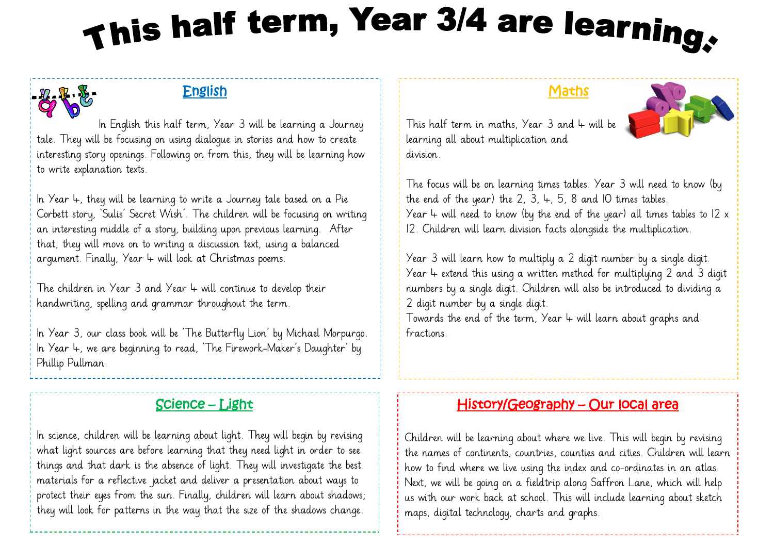# This half term, Year 3/4 are learning,

## English

 In English this half term, Year 3 will be learning a Journey tale. They will be focusing on using dialogue in stories and how to create interesting story openings. Following on from this, they will be learning how to write explanation texts.

In Year  $4$ , they will be learning to write a Journey tale based on a Pie Corbett story, 'Sulis' Secret Wish'. The children will be focusing on writing an interesting middle of a story, building upon previous learning. After that, they will move on to writing a discussion text, using a balanced argument. Finally, Year  $4$  will look at Christmas poems.

The children in Year  $3$  and Year  $4$  will continue to develop their handwriting, spelling and grammar throughout the term.

In Year 3, our class book will be 'The Butterfly Lion' by Michael Morpurgo. In Year 4, we are beginning to read, 'The Firework-Maker's Daughter' by Phillip Pullman.

## Science – Light

In science, children will be learning about light. They will begin by revising what light sources are before learning that they need light in order to see things and that dark is the absence of light. They will investigate the best materials for a reflective jacket and deliver a presentation about ways to protect their eyes from the sun. Finally, children will learn about shadows; they will look for patterns in the way that the size of the shadows change.

#### **Maths**



This half term in maths, Year  $3$  and  $4$  will be learning all about multiplication and division.

The focus will be on learning times tables. Year 3 will need to know (by the end of the year) the 2, 3,  $\text{L}$ , 5, 8 and IO times tables. Year  $4$  will need to know (by the end of the year) all times tables to  $12 \times$ 12. Children will learn division facts alongside the multiplication.

Year 3 will learn how to multiply a 2 digit number by a single digit. Year  $4$  extend this using a written method for multiplying 2 and 3 digit numbers by a single digit. Children will also be introduced to dividing a 2 digit number by a single digit.

Towards the end of the term, Year  $4$  will learn about graphs and fractions.

#### History/Geography – Our local area

Children will be learning about where we live. This will begin by revising the names of continents, countries, counties and cities. Children will learn how to find where we live using the index and co-ordinates in an atlas. Next, we will be going on a fieldtrip along Saffron Lane, which will help us with our work back at school. This will include learning about sketch maps, digital technology, charts and graphs.